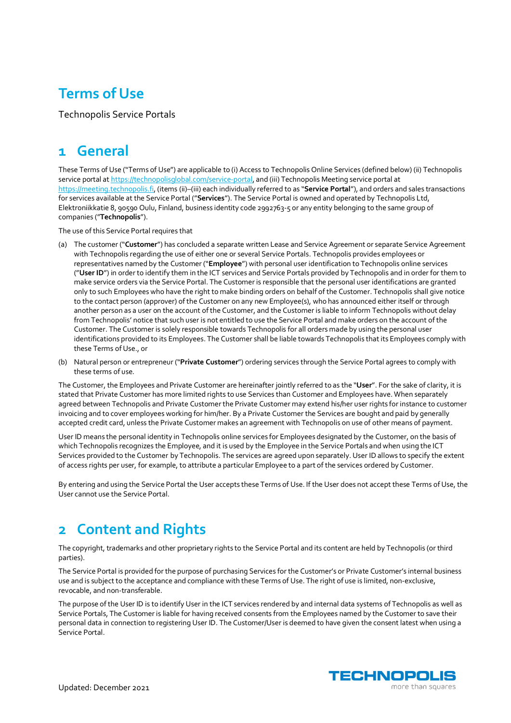## **Terms of Use**

Technopolis Service Portals

## **1 General**

These Terms of Use ("Terms of Use") are applicable to (i) Access to Technopolis Online Services (defined below) (ii) Technopolis service portal at https://technopolisglobal.com/service-portal, and (iii) Technopolis Meeting service portal at https://meeting.technopolis.fi, (items (ii)–(iii) each individually referred to as "**Service Portal**"), and orders and sales transactions for services available at the Service Portal ("**Services**"). The Service Portal is owned and operated by Technopolis Ltd, Elektroniikkatie 8, 90590 Oulu, Finland, business identity code 2992763-5 or any entity belonging to the same group of companies ("**Technopolis**").

The use of this Service Portal requires that

- (a) The customer ("**Customer**") has concluded a separate written Lease and Service Agreement or separate Service Agreement with Technopolis regarding the use of either one or several Service Portals. Technopolis provides employees or representatives named by the Customer ("**Employee**") with personal user identification to Technopolis online services ("**User ID**") in order to identify them in the ICT services and Service Portals provided by Technopolis and in order for them to make service orders via the Service Portal. The Customer is responsible that the personal user identifications are granted only to such Employees who have the right to make binding orders on behalf of the Customer. Technopolis shall give notice to the contact person (approver) of the Customer on any new Employee(s), who has announced either itself or through another person as a user on the account of the Customer, and the Customer is liable to inform Technopolis without delay from Technopolis' notice that such user is not entitled to use the Service Portal and make orders on the account of the Customer. The Customer is solely responsible towards Technopolis for all orders made by using the personal user identifications provided to its Employees. The Customer shall be liable towards Technopolis that its Employees comply with these Terms of Use., or
- (b) Natural person or entrepreneur ("**Private Customer**") ordering services through the Service Portal agrees to comply with these terms of use.

The Customer, the Employees and Private Customer are hereinafter jointly referred to as the "**User**". For the sake of clarity, it is stated that Private Customer has more limited rights to use Services than Customer and Employees have. When separately agreed between Technopolis and Private Customer the Private Customer may extend his/her user rights for instance to customer invoicing and to cover employees working for him/her. By a Private Customer the Services are bought and paid by generally accepted credit card, unless the Private Customer makes an agreement with Technopolis on use of other means of payment.

User ID means the personal identity in Technopolis online services for Employees designated by the Customer, on the basis of which Technopolis recognizes the Employee, and it is used by the Employee in the Service Portals and when using the ICT Services provided to the Customer by Technopolis. The services are agreed upon separately. User ID allows to specify the extent of access rights per user, for example, to attribute a particular Employee to a part of the services ordered by Customer.

By entering and using the Service Portal the User accepts these Terms of Use. If the User does not accept these Terms of Use, the User cannot use the Service Portal.

#### **2 Content and Rights**

The copyright, trademarks and other proprietary rights to the Service Portal and its content are held by Technopolis (or third parties).

The Service Portal is provided for the purpose of purchasing Services for the Customer's or Private Customer's internal business use and is subject to the acceptance and compliance with these Terms of Use. The right of use is limited, non-exclusive, revocable, and non-transferable.

The purpose of the User ID is to identify User in the ICT services rendered by and internal data systems of Technopolis as well as Service Portals, The Customer is liable for having received consents from the Employees named by the Customer to save their personal data in connection to registering User ID. The Customer/User is deemed to have given the consent latest when using a Service Portal.

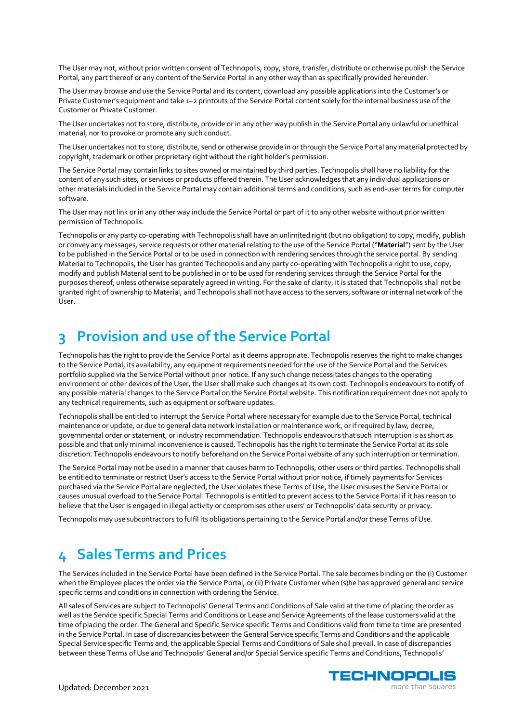The User may not, without prior written consent of Technopolis, copy, store, transfer, distribute or otherwise publish the Service Portal, any part thereof or any content of the Service Portal in any other way than as specifically provided hereunder.

The User may browse and use the Service Portal and its content, download any possible applications into the Customer's or Private Customer's equipment and take 1–2 printouts of the Service Portal content solely for the internal business use of the Customer or Private Customer.

The User undertakes not to store, distribute, provide or in any other way publish in the Service Portal any unlawful or unethical material, nor to provoke or promote any such conduct.

The User undertakes not to store, distribute, send or otherwise provide in or through the Service Portal any material protected by copyright, trademark or other proprietary right without the right holder's permission.

The Service Portal may contain links to sites owned or maintained by third parties. Technopolis shall have no liability for the content of any such sites, or services or products offered therein. The User acknowledges that any individual applications or other materials included in the Service Portal may contain additional terms and conditions, such as end-user terms for computer software.

The User may not link or in any other way include the Service Portal or part of it to any other website without prior written permission of Technopolis.

Technopolis or any party co-operating with Technopolis shall have an unlimited right (but no obligation) to copy, modify, publish or convey any messages, service requests or other material relating to the use of the Service Portal ("**Material**") sent by the User to be published in the Service Portal or to be used in connection with rendering services through the service portal. By sending Material to Technopolis, the User has granted Technopolis and any party co-operating with Technopolis a right to use, copy, modify and publish Material sent to be published in or to be used for rendering services through the Service Portal for the purposes thereof, unless otherwise separately agreed in writing. For the sake of clarity, it is stated that Technopolis shall not be granted right of ownership to Material, and Technopolis shall not have access to the servers, software or internal network of the User.

#### **3 Provision and use of the Service Portal**

Technopolis has the right to provide the Service Portal as it deems appropriate. Technopolis reserves the right to make changes to the Service Portal, its availability, any equipment requirements needed for the use of the Service Portal and the Services portfolio supplied via the Service Portal without prior notice. If any such change necessitates changes to the operating environment or other devices of the User, the User shall make such changes at its own cost. Technopolis endeavours to notify of any possible material changes to the Service Portal on the Service Portal website. This notification requirement does not apply to any technical requirements, such as equipment or software updates.

Technopolis shall be entitled to interrupt the Service Portal where necessary for example due to the Service Portal, technical maintenance or update, or due to general data network installation or maintenance work, or if required by law, decree, governmental order or statement, or industry recommendation. Technopolis endeavours that such interruption is as short as possible and that only minimal inconvenience is caused. Technopolis has the right to terminate the Service Portal at its sole discretion. Technopolis endeavours to notify beforehand on the Service Portal website of any such interruption or termination.

The Service Portal may not be used in a manner that causes harm to Technopolis, other users or third parties. Technopolis shall be entitled to terminate or restrict User's access to the Service Portal without prior notice, if timely payments for Services purchased via the Service Portal are neglected, the User violates these Terms of Use, the User misuses the Service Portal or causes unusual overload to the Service Portal. Technopolis is entitled to prevent access to the Service Portal if it has reason to believe that the User is engaged in illegal activity or compromises other users' or Technopolis' data security or privacy.

Technopolis may use subcontractors to fulfil its obligations pertaining to the Service Portal and/or these Terms of Use.

#### **4 Sales Terms and Prices**

The Services included in the Service Portal have been defined in the Service Portal. The sale becomes binding on the (i) Customer when the Employee places the order via the Service Portal, or (ii) Private Customer when (s)he has approved general and service specific terms and conditions in connection with ordering the Service.

All sales of Services are subject to Technopolis' General Terms and Conditions of Sale valid at the time of placing the order as well as the Service specific Special Terms and Conditions or Lease and Service Agreements of the lease customers valid at the time of placing the order. The General and Specific Service specific Terms and Conditions valid from time to time are presented in the Service Portal. In case of discrepancies between the General Service specific Terms and Conditions and the applicable Special Service specific Terms and, the applicable Special Terms and Conditions of Sale shall prevail. In case of discrepancies between these Terms of Use and Technopolis' General and/or Special Service specific Terms and Conditions, Technopolis'

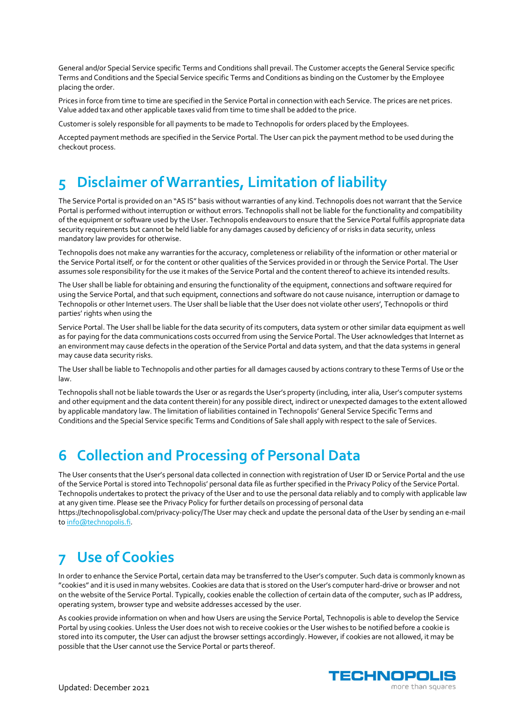General and/or Special Service specific Terms and Conditions shall prevail. The Customer accepts the General Service specific Terms and Conditions and the Special Service specific Terms and Conditions as binding on the Customer by the Employee placing the order.

Prices in force from time to time are specified in the Service Portal in connection with each Service. The prices are net prices. Value added tax and other applicable taxes valid from time to time shall be added to the price.

Customer is solely responsible for all payments to be made to Technopolis for orders placed by the Employees.

Accepted payment methods are specified in the Service Portal. The User can pick the payment method to be used during the checkout process.

# **5 Disclaimer of Warranties, Limitation of liability**

The Service Portal is provided on an "AS IS" basis without warranties of any kind. Technopolis does not warrant that the Service Portal is performed without interruption or without errors. Technopolis shall not be liable for the functionality and compatibility of the equipment or software used by the User. Technopolis endeavours to ensure that the Service Portal fulfils appropriate data security requirements but cannot be held liable for any damages caused by deficiency of or risks in data security, unless mandatory law provides for otherwise.

Technopolis does not make any warranties for the accuracy, completeness or reliability of the information or other material or the Service Portal itself, or for the content or other qualities of the Services provided in or through the Service Portal. The User assumes sole responsibility for the use it makes of the Service Portal and the content thereof to achieve its intended results.

The User shall be liable for obtaining and ensuring the functionality of the equipment, connections and software required for using the Service Portal, and that such equipment, connections and software do not cause nuisance, interruption or damage to Technopolis or other Internet users. The User shall be liable that the User does not violate other users', Technopolis or third parties' rights when using the

Service Portal. The User shall be liable for the data security of its computers, data system or other similar data equipment as well as for paying for the data communications costs occurred from using the Service Portal. The User acknowledges that Internet as an environment may cause defects in the operation of the Service Portal and data system, and that the data systems in general may cause data security risks.

The User shall be liable to Technopolis and other parties for all damages caused by actions contrary to these Terms of Use or the law.

Technopolis shall not be liable towards the User or as regards the User's property (including, inter alia, User's computer systems and other equipment and the data content therein) for any possible direct, indirect or unexpected damages to the extent allowed by applicable mandatory law. The limitation of liabilities contained in Technopolis' General Service Specific Terms and Conditions and the Special Service specific Terms and Conditions of Sale shall apply with respect to the sale of Services.

## **6 Collection and Processing of Personal Data**

The User consents that the User's personal data collected in connection with registration of User ID or Service Portal and the use of the Service Portal is stored into Technopolis' personal data file as further specified in the Privacy Policy of the Service Portal. Technopolis undertakes to protect the privacy of the User and to use the personal data reliably and to comply with applicable law at any given time. Please see the Privacy Policy for further details on processing of personal data https://technopolisglobal.com/privacy-policy/The User may check and update the personal data of the User by sending an e-mail to info@technopolis.fi.

## **7 Use of Cookies**

In order to enhance the Service Portal, certain data may be transferred to the User's computer. Such data is commonly known as "cookies" and it is used in many websites. Cookies are data that is stored on the User's computer hard-drive or browser and not on the website of the Service Portal. Typically, cookies enable the collection of certain data of the computer, such as IP address, operating system, browser type and website addresses accessed by the user.

As cookies provide information on when and how Users are using the Service Portal, Technopolis is able to develop the Service Portal by using cookies. Unless the User does not wish to receive cookies or the User wishes to be notified before a cookie is stored into its computer, the User can adjust the browser settings accordingly. However, if cookies are not allowed, it may be possible that the User cannot use the Service Portal or parts thereof.